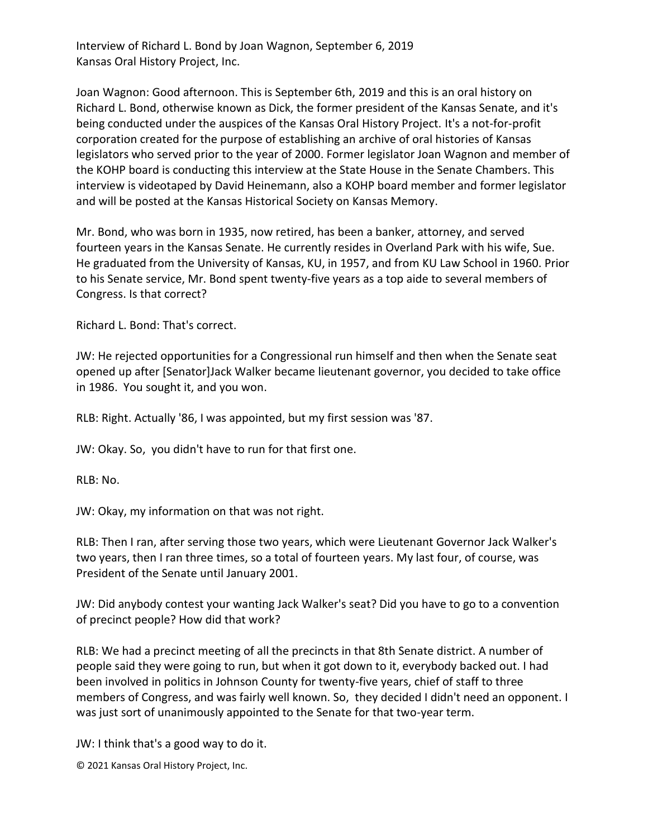Interview of Richard L. Bond by Joan Wagnon, September 6, 2019 Kansas Oral History Project, Inc.

Joan Wagnon: Good afternoon. This is September 6th, 2019 and this is an oral history on Richard L. Bond, otherwise known as Dick, the former president of the Kansas Senate, and it's being conducted under the auspices of the Kansas Oral History Project. It's a not-for-profit corporation created for the purpose of establishing an archive of oral histories of Kansas legislators who served prior to the year of 2000. Former legislator Joan Wagnon and member of the KOHP board is conducting this interview at the State House in the Senate Chambers. This interview is videotaped by David Heinemann, also a KOHP board member and former legislator and will be posted at the Kansas Historical Society on Kansas Memory.

Mr. Bond, who was born in 1935, now retired, has been a banker, attorney, and served fourteen years in the Kansas Senate. He currently resides in Overland Park with his wife, Sue. He graduated from the University of Kansas, KU, in 1957, and from KU Law School in 1960. Prior to his Senate service, Mr. Bond spent twenty-five years as a top aide to several members of Congress. Is that correct?

Richard L. Bond: That's correct.

JW: He rejected opportunities for a Congressional run himself and then when the Senate seat opened up after [Senator]Jack Walker became lieutenant governor, you decided to take office in 1986. You sought it, and you won.

RLB: Right. Actually '86, I was appointed, but my first session was '87.

JW: Okay. So, you didn't have to run for that first one.

RLB: No.

JW: Okay, my information on that was not right.

RLB: Then I ran, after serving those two years, which were Lieutenant Governor Jack Walker's two years, then I ran three times, so a total of fourteen years. My last four, of course, was President of the Senate until January 2001.

JW: Did anybody contest your wanting Jack Walker's seat? Did you have to go to a convention of precinct people? How did that work?

RLB: We had a precinct meeting of all the precincts in that 8th Senate district. A number of people said they were going to run, but when it got down to it, everybody backed out. I had been involved in politics in Johnson County for twenty-five years, chief of staff to three members of Congress, and was fairly well known. So, they decided I didn't need an opponent. I was just sort of unanimously appointed to the Senate for that two-year term.

JW: I think that's a good way to do it.

© 2021 Kansas Oral History Project, Inc.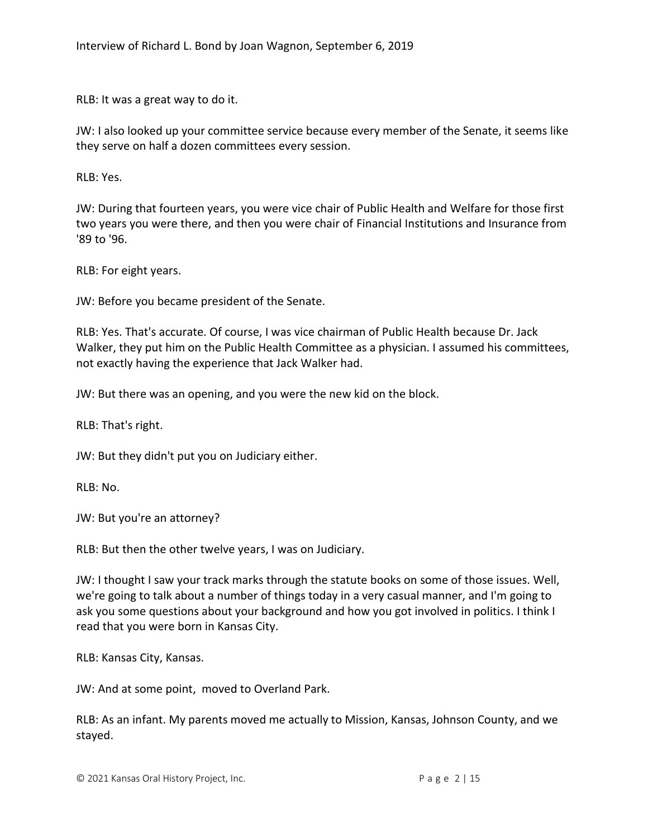RLB: It was a great way to do it.

JW: I also looked up your committee service because every member of the Senate, it seems like they serve on half a dozen committees every session.

RLB: Yes.

JW: During that fourteen years, you were vice chair of Public Health and Welfare for those first two years you were there, and then you were chair of Financial Institutions and Insurance from '89 to '96.

RLB: For eight years.

JW: Before you became president of the Senate.

RLB: Yes. That's accurate. Of course, I was vice chairman of Public Health because Dr. Jack Walker, they put him on the Public Health Committee as a physician. I assumed his committees, not exactly having the experience that Jack Walker had.

JW: But there was an opening, and you were the new kid on the block.

RLB: That's right.

JW: But they didn't put you on Judiciary either.

RLB: No.

JW: But you're an attorney?

RLB: But then the other twelve years, I was on Judiciary.

JW: I thought I saw your track marks through the statute books on some of those issues. Well, we're going to talk about a number of things today in a very casual manner, and I'm going to ask you some questions about your background and how you got involved in politics. I think I read that you were born in Kansas City.

RLB: Kansas City, Kansas.

JW: And at some point, moved to Overland Park.

RLB: As an infant. My parents moved me actually to Mission, Kansas, Johnson County, and we stayed.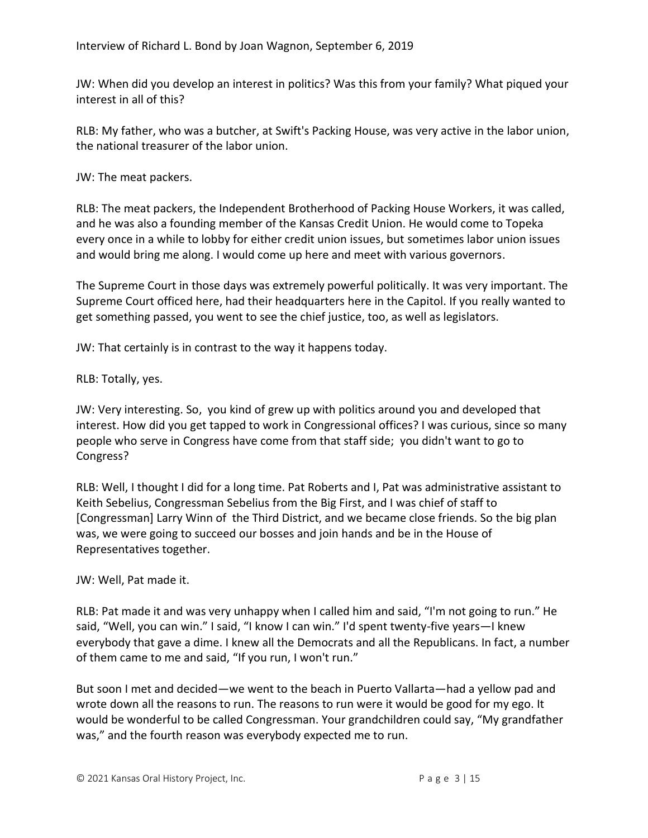JW: When did you develop an interest in politics? Was this from your family? What piqued your interest in all of this?

RLB: My father, who was a butcher, at Swift's Packing House, was very active in the labor union, the national treasurer of the labor union.

JW: The meat packers.

RLB: The meat packers, the Independent Brotherhood of Packing House Workers, it was called, and he was also a founding member of the Kansas Credit Union. He would come to Topeka every once in a while to lobby for either credit union issues, but sometimes labor union issues and would bring me along. I would come up here and meet with various governors.

The Supreme Court in those days was extremely powerful politically. It was very important. The Supreme Court officed here, had their headquarters here in the Capitol. If you really wanted to get something passed, you went to see the chief justice, too, as well as legislators.

JW: That certainly is in contrast to the way it happens today.

RLB: Totally, yes.

JW: Very interesting. So, you kind of grew up with politics around you and developed that interest. How did you get tapped to work in Congressional offices? I was curious, since so many people who serve in Congress have come from that staff side; you didn't want to go to Congress?

RLB: Well, I thought I did for a long time. Pat Roberts and I, Pat was administrative assistant to Keith Sebelius, Congressman Sebelius from the Big First, and I was chief of staff to [Congressman] Larry Winn of the Third District, and we became close friends. So the big plan was, we were going to succeed our bosses and join hands and be in the House of Representatives together.

# JW: Well, Pat made it.

RLB: Pat made it and was very unhappy when I called him and said, "I'm not going to run." He said, "Well, you can win." I said, "I know I can win." I'd spent twenty-five years—I knew everybody that gave a dime. I knew all the Democrats and all the Republicans. In fact, a number of them came to me and said, "If you run, I won't run."

But soon I met and decided—we went to the beach in Puerto Vallarta—had a yellow pad and wrote down all the reasons to run. The reasons to run were it would be good for my ego. It would be wonderful to be called Congressman. Your grandchildren could say, "My grandfather was," and the fourth reason was everybody expected me to run.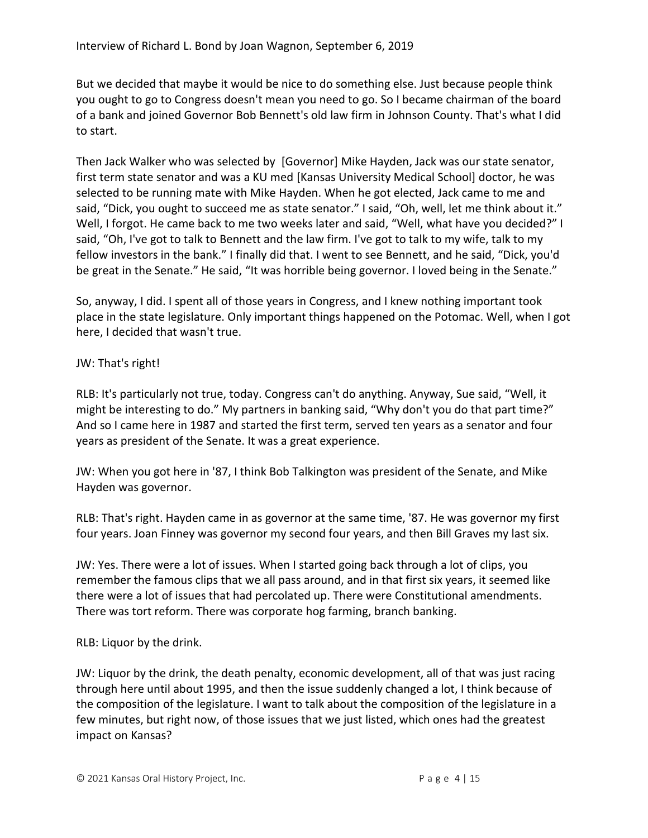But we decided that maybe it would be nice to do something else. Just because people think you ought to go to Congress doesn't mean you need to go. So I became chairman of the board of a bank and joined Governor Bob Bennett's old law firm in Johnson County. That's what I did to start.

Then Jack Walker who was selected by [Governor] Mike Hayden, Jack was our state senator, first term state senator and was a KU med [Kansas University Medical School] doctor, he was selected to be running mate with Mike Hayden. When he got elected, Jack came to me and said, "Dick, you ought to succeed me as state senator." I said, "Oh, well, let me think about it." Well, I forgot. He came back to me two weeks later and said, "Well, what have you decided?" I said, "Oh, I've got to talk to Bennett and the law firm. I've got to talk to my wife, talk to my fellow investors in the bank." I finally did that. I went to see Bennett, and he said, "Dick, you'd be great in the Senate." He said, "It was horrible being governor. I loved being in the Senate."

So, anyway, I did. I spent all of those years in Congress, and I knew nothing important took place in the state legislature. Only important things happened on the Potomac. Well, when I got here, I decided that wasn't true.

# JW: That's right!

RLB: It's particularly not true, today. Congress can't do anything. Anyway, Sue said, "Well, it might be interesting to do." My partners in banking said, "Why don't you do that part time?" And so I came here in 1987 and started the first term, served ten years as a senator and four years as president of the Senate. It was a great experience.

JW: When you got here in '87, I think Bob Talkington was president of the Senate, and Mike Hayden was governor.

RLB: That's right. Hayden came in as governor at the same time, '87. He was governor my first four years. Joan Finney was governor my second four years, and then Bill Graves my last six.

JW: Yes. There were a lot of issues. When I started going back through a lot of clips, you remember the famous clips that we all pass around, and in that first six years, it seemed like there were a lot of issues that had percolated up. There were Constitutional amendments. There was tort reform. There was corporate hog farming, branch banking.

### RLB: Liquor by the drink.

JW: Liquor by the drink, the death penalty, economic development, all of that was just racing through here until about 1995, and then the issue suddenly changed a lot, I think because of the composition of the legislature. I want to talk about the composition of the legislature in a few minutes, but right now, of those issues that we just listed, which ones had the greatest impact on Kansas?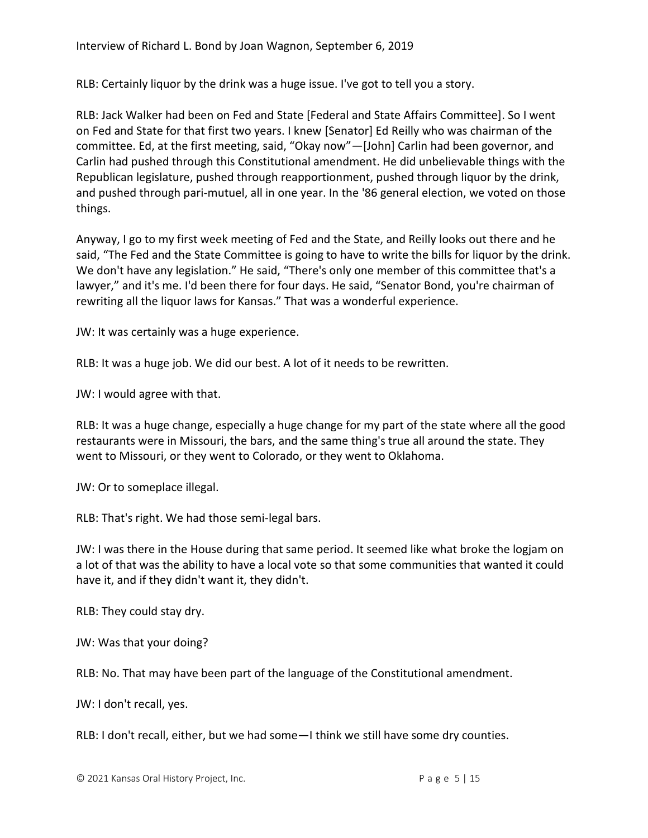RLB: Certainly liquor by the drink was a huge issue. I've got to tell you a story.

RLB: Jack Walker had been on Fed and State [Federal and State Affairs Committee]. So I went on Fed and State for that first two years. I knew [Senator] Ed Reilly who was chairman of the committee. Ed, at the first meeting, said, "Okay now"—[John] Carlin had been governor, and Carlin had pushed through this Constitutional amendment. He did unbelievable things with the Republican legislature, pushed through reapportionment, pushed through liquor by the drink, and pushed through pari-mutuel, all in one year. In the '86 general election, we voted on those things.

Anyway, I go to my first week meeting of Fed and the State, and Reilly looks out there and he said, "The Fed and the State Committee is going to have to write the bills for liquor by the drink. We don't have any legislation." He said, "There's only one member of this committee that's a lawyer," and it's me. I'd been there for four days. He said, "Senator Bond, you're chairman of rewriting all the liquor laws for Kansas." That was a wonderful experience.

JW: It was certainly was a huge experience.

RLB: It was a huge job. We did our best. A lot of it needs to be rewritten.

JW: I would agree with that.

RLB: It was a huge change, especially a huge change for my part of the state where all the good restaurants were in Missouri, the bars, and the same thing's true all around the state. They went to Missouri, or they went to Colorado, or they went to Oklahoma.

JW: Or to someplace illegal.

RLB: That's right. We had those semi-legal bars.

JW: I was there in the House during that same period. It seemed like what broke the logjam on a lot of that was the ability to have a local vote so that some communities that wanted it could have it, and if they didn't want it, they didn't.

RLB: They could stay dry.

JW: Was that your doing?

RLB: No. That may have been part of the language of the Constitutional amendment.

JW: I don't recall, yes.

RLB: I don't recall, either, but we had some—I think we still have some dry counties.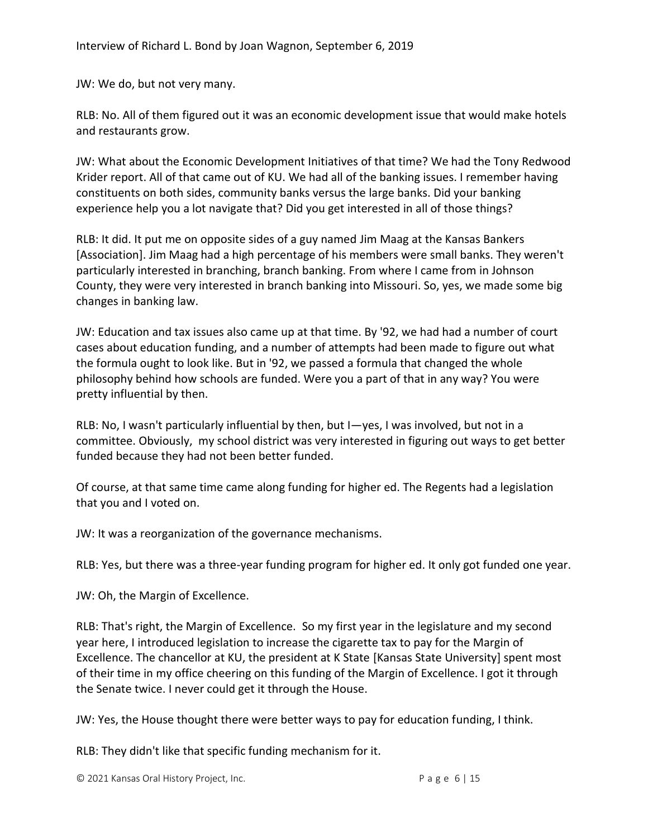JW: We do, but not very many.

RLB: No. All of them figured out it was an economic development issue that would make hotels and restaurants grow.

JW: What about the Economic Development Initiatives of that time? We had the Tony Redwood Krider report. All of that came out of KU. We had all of the banking issues. I remember having constituents on both sides, community banks versus the large banks. Did your banking experience help you a lot navigate that? Did you get interested in all of those things?

RLB: It did. It put me on opposite sides of a guy named Jim Maag at the Kansas Bankers [Association]. Jim Maag had a high percentage of his members were small banks. They weren't particularly interested in branching, branch banking. From where I came from in Johnson County, they were very interested in branch banking into Missouri. So, yes, we made some big changes in banking law.

JW: Education and tax issues also came up at that time. By '92, we had had a number of court cases about education funding, and a number of attempts had been made to figure out what the formula ought to look like. But in '92, we passed a formula that changed the whole philosophy behind how schools are funded. Were you a part of that in any way? You were pretty influential by then.

RLB: No, I wasn't particularly influential by then, but I—yes, I was involved, but not in a committee. Obviously, my school district was very interested in figuring out ways to get better funded because they had not been better funded.

Of course, at that same time came along funding for higher ed. The Regents had a legislation that you and I voted on.

JW: It was a reorganization of the governance mechanisms.

RLB: Yes, but there was a three-year funding program for higher ed. It only got funded one year.

JW: Oh, the Margin of Excellence.

RLB: That's right, the Margin of Excellence. So my first year in the legislature and my second year here, I introduced legislation to increase the cigarette tax to pay for the Margin of Excellence. The chancellor at KU, the president at K State [Kansas State University] spent most of their time in my office cheering on this funding of the Margin of Excellence. I got it through the Senate twice. I never could get it through the House.

JW: Yes, the House thought there were better ways to pay for education funding, I think.

RLB: They didn't like that specific funding mechanism for it.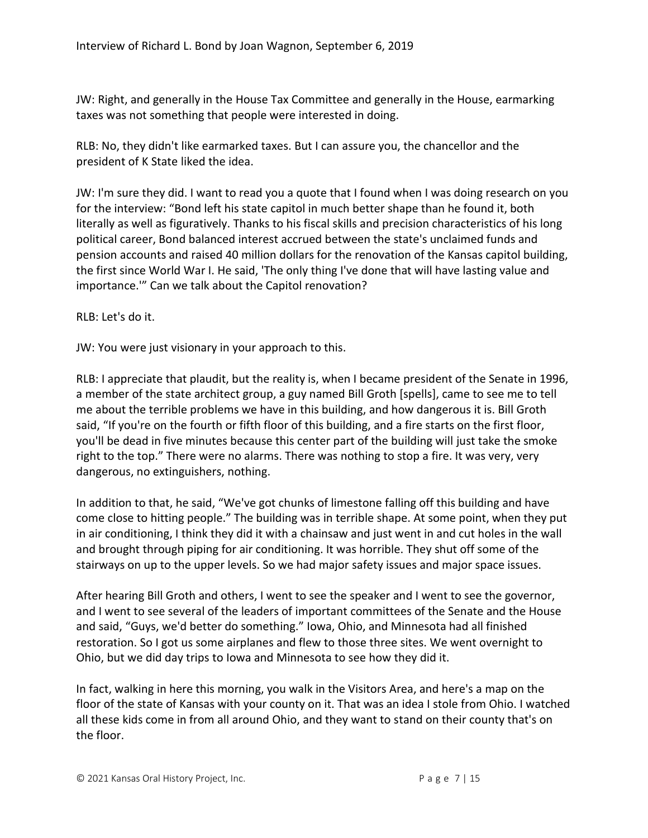JW: Right, and generally in the House Tax Committee and generally in the House, earmarking taxes was not something that people were interested in doing.

RLB: No, they didn't like earmarked taxes. But I can assure you, the chancellor and the president of K State liked the idea.

JW: I'm sure they did. I want to read you a quote that I found when I was doing research on you for the interview: "Bond left his state capitol in much better shape than he found it, both literally as well as figuratively. Thanks to his fiscal skills and precision characteristics of his long political career, Bond balanced interest accrued between the state's unclaimed funds and pension accounts and raised 40 million dollars for the renovation of the Kansas capitol building, the first since World War I. He said, 'The only thing I've done that will have lasting value and importance.'" Can we talk about the Capitol renovation?

RLB: Let's do it.

JW: You were just visionary in your approach to this.

RLB: I appreciate that plaudit, but the reality is, when I became president of the Senate in 1996, a member of the state architect group, a guy named Bill Groth [spells], came to see me to tell me about the terrible problems we have in this building, and how dangerous it is. Bill Groth said, "If you're on the fourth or fifth floor of this building, and a fire starts on the first floor, you'll be dead in five minutes because this center part of the building will just take the smoke right to the top." There were no alarms. There was nothing to stop a fire. It was very, very dangerous, no extinguishers, nothing.

In addition to that, he said, "We've got chunks of limestone falling off this building and have come close to hitting people." The building was in terrible shape. At some point, when they put in air conditioning, I think they did it with a chainsaw and just went in and cut holes in the wall and brought through piping for air conditioning. It was horrible. They shut off some of the stairways on up to the upper levels. So we had major safety issues and major space issues.

After hearing Bill Groth and others, I went to see the speaker and I went to see the governor, and I went to see several of the leaders of important committees of the Senate and the House and said, "Guys, we'd better do something." Iowa, Ohio, and Minnesota had all finished restoration. So I got us some airplanes and flew to those three sites. We went overnight to Ohio, but we did day trips to Iowa and Minnesota to see how they did it.

In fact, walking in here this morning, you walk in the Visitors Area, and here's a map on the floor of the state of Kansas with your county on it. That was an idea I stole from Ohio. I watched all these kids come in from all around Ohio, and they want to stand on their county that's on the floor.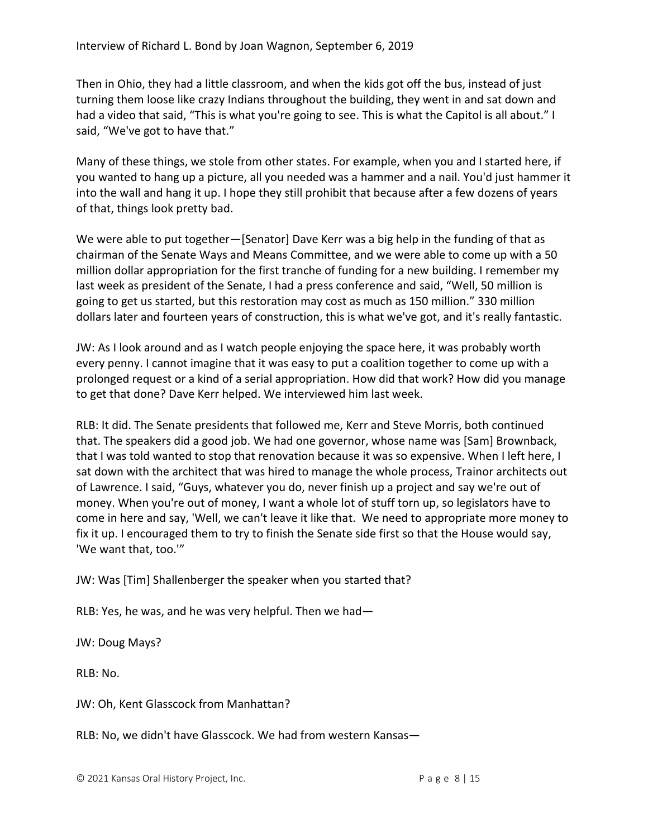Then in Ohio, they had a little classroom, and when the kids got off the bus, instead of just turning them loose like crazy Indians throughout the building, they went in and sat down and had a video that said, "This is what you're going to see. This is what the Capitol is all about." I said, "We've got to have that."

Many of these things, we stole from other states. For example, when you and I started here, if you wanted to hang up a picture, all you needed was a hammer and a nail. You'd just hammer it into the wall and hang it up. I hope they still prohibit that because after a few dozens of years of that, things look pretty bad.

We were able to put together—[Senator] Dave Kerr was a big help in the funding of that as chairman of the Senate Ways and Means Committee, and we were able to come up with a 50 million dollar appropriation for the first tranche of funding for a new building. I remember my last week as president of the Senate, I had a press conference and said, "Well, 50 million is going to get us started, but this restoration may cost as much as 150 million." 330 million dollars later and fourteen years of construction, this is what we've got, and it's really fantastic.

JW: As I look around and as I watch people enjoying the space here, it was probably worth every penny. I cannot imagine that it was easy to put a coalition together to come up with a prolonged request or a kind of a serial appropriation. How did that work? How did you manage to get that done? Dave Kerr helped. We interviewed him last week.

RLB: It did. The Senate presidents that followed me, Kerr and Steve Morris, both continued that. The speakers did a good job. We had one governor, whose name was [Sam] Brownback, that I was told wanted to stop that renovation because it was so expensive. When I left here, I sat down with the architect that was hired to manage the whole process, Trainor architects out of Lawrence. I said, "Guys, whatever you do, never finish up a project and say we're out of money. When you're out of money, I want a whole lot of stuff torn up, so legislators have to come in here and say, 'Well, we can't leave it like that. We need to appropriate more money to fix it up. I encouraged them to try to finish the Senate side first so that the House would say, 'We want that, too.'"

JW: Was [Tim] Shallenberger the speaker when you started that?

RLB: Yes, he was, and he was very helpful. Then we had—

JW: Doug Mays?

RLB: No.

JW: Oh, Kent Glasscock from Manhattan?

RLB: No, we didn't have Glasscock. We had from western Kansas—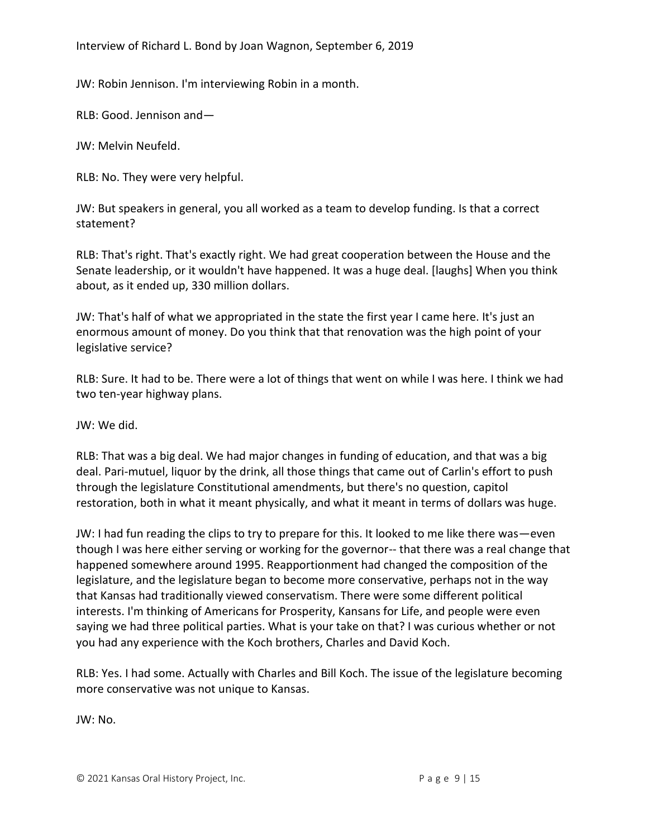Interview of Richard L. Bond by Joan Wagnon, September 6, 2019

JW: Robin Jennison. I'm interviewing Robin in a month.

RLB: Good. Jennison and—

JW: Melvin Neufeld.

RLB: No. They were very helpful.

JW: But speakers in general, you all worked as a team to develop funding. Is that a correct statement?

RLB: That's right. That's exactly right. We had great cooperation between the House and the Senate leadership, or it wouldn't have happened. It was a huge deal. [laughs] When you think about, as it ended up, 330 million dollars.

JW: That's half of what we appropriated in the state the first year I came here. It's just an enormous amount of money. Do you think that that renovation was the high point of your legislative service?

RLB: Sure. It had to be. There were a lot of things that went on while I was here. I think we had two ten-year highway plans.

JW: We did.

RLB: That was a big deal. We had major changes in funding of education, and that was a big deal. Pari-mutuel, liquor by the drink, all those things that came out of Carlin's effort to push through the legislature Constitutional amendments, but there's no question, capitol restoration, both in what it meant physically, and what it meant in terms of dollars was huge.

JW: I had fun reading the clips to try to prepare for this. It looked to me like there was—even though I was here either serving or working for the governor-- that there was a real change that happened somewhere around 1995. Reapportionment had changed the composition of the legislature, and the legislature began to become more conservative, perhaps not in the way that Kansas had traditionally viewed conservatism. There were some different political interests. I'm thinking of Americans for Prosperity, Kansans for Life, and people were even saying we had three political parties. What is your take on that? I was curious whether or not you had any experience with the Koch brothers, Charles and David Koch.

RLB: Yes. I had some. Actually with Charles and Bill Koch. The issue of the legislature becoming more conservative was not unique to Kansas.

JW: No.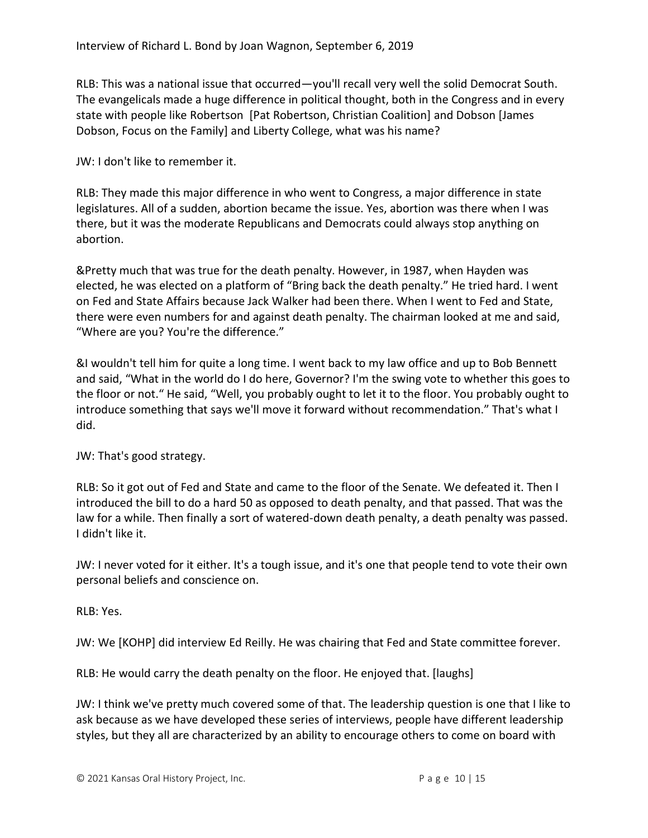RLB: This was a national issue that occurred—you'll recall very well the solid Democrat South. The evangelicals made a huge difference in political thought, both in the Congress and in every state with people like Robertson [Pat Robertson, Christian Coalition] and Dobson [James Dobson, Focus on the Family] and Liberty College, what was his name?

JW: I don't like to remember it.

RLB: They made this major difference in who went to Congress, a major difference in state legislatures. All of a sudden, abortion became the issue. Yes, abortion was there when I was there, but it was the moderate Republicans and Democrats could always stop anything on abortion.

&Pretty much that was true for the death penalty. However, in 1987, when Hayden was elected, he was elected on a platform of "Bring back the death penalty." He tried hard. I went on Fed and State Affairs because Jack Walker had been there. When I went to Fed and State, there were even numbers for and against death penalty. The chairman looked at me and said, "Where are you? You're the difference."

&I wouldn't tell him for quite a long time. I went back to my law office and up to Bob Bennett and said, "What in the world do I do here, Governor? I'm the swing vote to whether this goes to the floor or not." He said, "Well, you probably ought to let it to the floor. You probably ought to introduce something that says we'll move it forward without recommendation." That's what I did.

JW: That's good strategy.

RLB: So it got out of Fed and State and came to the floor of the Senate. We defeated it. Then I introduced the bill to do a hard 50 as opposed to death penalty, and that passed. That was the law for a while. Then finally a sort of watered-down death penalty, a death penalty was passed. I didn't like it.

JW: I never voted for it either. It's a tough issue, and it's one that people tend to vote their own personal beliefs and conscience on.

RLB: Yes.

JW: We [KOHP] did interview Ed Reilly. He was chairing that Fed and State committee forever.

RLB: He would carry the death penalty on the floor. He enjoyed that. [laughs]

JW: I think we've pretty much covered some of that. The leadership question is one that I like to ask because as we have developed these series of interviews, people have different leadership styles, but they all are characterized by an ability to encourage others to come on board with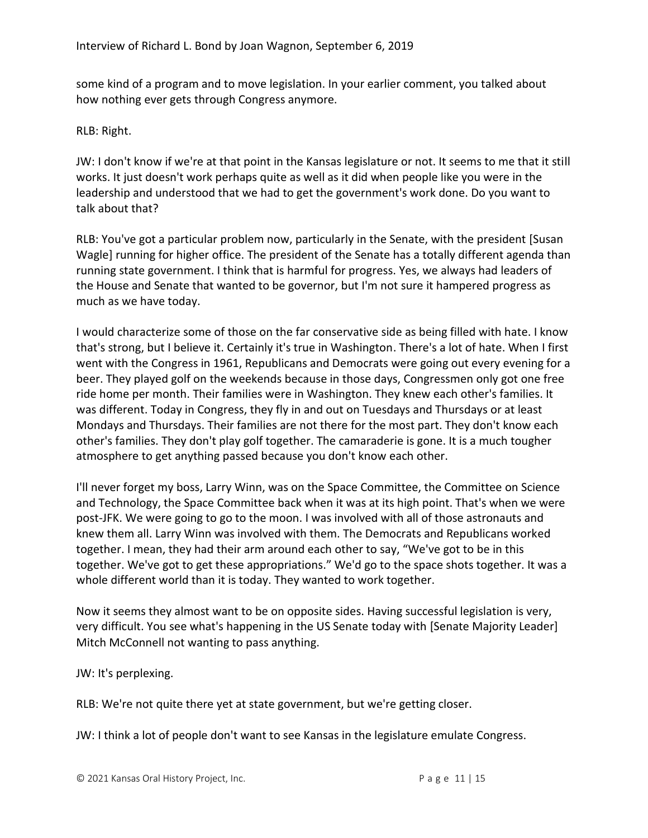some kind of a program and to move legislation. In your earlier comment, you talked about how nothing ever gets through Congress anymore.

RLB: Right.

JW: I don't know if we're at that point in the Kansas legislature or not. It seems to me that it still works. It just doesn't work perhaps quite as well as it did when people like you were in the leadership and understood that we had to get the government's work done. Do you want to talk about that?

RLB: You've got a particular problem now, particularly in the Senate, with the president [Susan Wagle] running for higher office. The president of the Senate has a totally different agenda than running state government. I think that is harmful for progress. Yes, we always had leaders of the House and Senate that wanted to be governor, but I'm not sure it hampered progress as much as we have today.

I would characterize some of those on the far conservative side as being filled with hate. I know that's strong, but I believe it. Certainly it's true in Washington. There's a lot of hate. When I first went with the Congress in 1961, Republicans and Democrats were going out every evening for a beer. They played golf on the weekends because in those days, Congressmen only got one free ride home per month. Their families were in Washington. They knew each other's families. It was different. Today in Congress, they fly in and out on Tuesdays and Thursdays or at least Mondays and Thursdays. Their families are not there for the most part. They don't know each other's families. They don't play golf together. The camaraderie is gone. It is a much tougher atmosphere to get anything passed because you don't know each other.

I'll never forget my boss, Larry Winn, was on the Space Committee, the Committee on Science and Technology, the Space Committee back when it was at its high point. That's when we were post-JFK. We were going to go to the moon. I was involved with all of those astronauts and knew them all. Larry Winn was involved with them. The Democrats and Republicans worked together. I mean, they had their arm around each other to say, "We've got to be in this together. We've got to get these appropriations." We'd go to the space shots together. It was a whole different world than it is today. They wanted to work together.

Now it seems they almost want to be on opposite sides. Having successful legislation is very, very difficult. You see what's happening in the US Senate today with [Senate Majority Leader] Mitch McConnell not wanting to pass anything.

JW: It's perplexing.

RLB: We're not quite there yet at state government, but we're getting closer.

JW: I think a lot of people don't want to see Kansas in the legislature emulate Congress.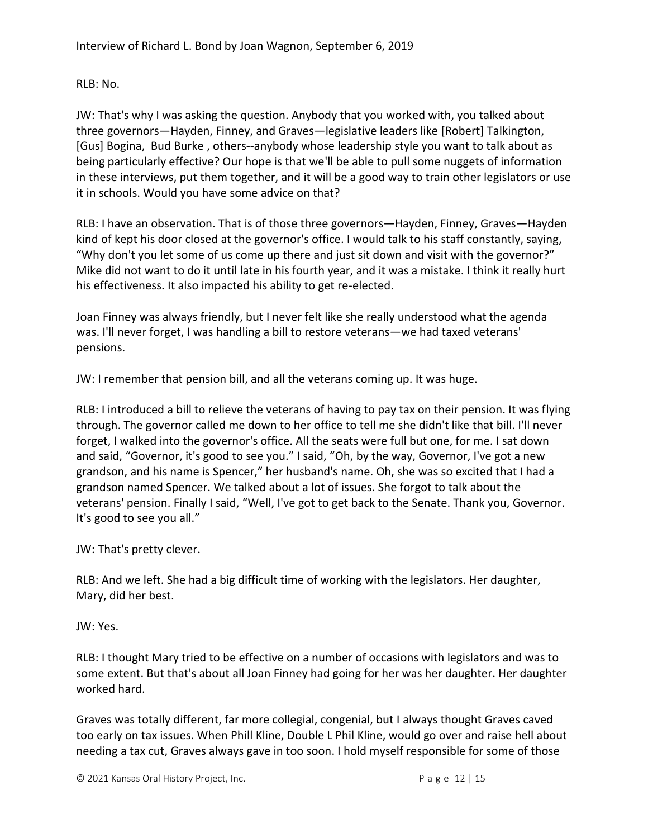RLB: No.

JW: That's why I was asking the question. Anybody that you worked with, you talked about three governors—Hayden, Finney, and Graves—legislative leaders like [Robert] Talkington, [Gus] Bogina, Bud Burke , others--anybody whose leadership style you want to talk about as being particularly effective? Our hope is that we'll be able to pull some nuggets of information in these interviews, put them together, and it will be a good way to train other legislators or use it in schools. Would you have some advice on that?

RLB: I have an observation. That is of those three governors—Hayden, Finney, Graves—Hayden kind of kept his door closed at the governor's office. I would talk to his staff constantly, saying, "Why don't you let some of us come up there and just sit down and visit with the governor?" Mike did not want to do it until late in his fourth year, and it was a mistake. I think it really hurt his effectiveness. It also impacted his ability to get re-elected.

Joan Finney was always friendly, but I never felt like she really understood what the agenda was. I'll never forget, I was handling a bill to restore veterans—we had taxed veterans' pensions.

JW: I remember that pension bill, and all the veterans coming up. It was huge.

RLB: I introduced a bill to relieve the veterans of having to pay tax on their pension. It was flying through. The governor called me down to her office to tell me she didn't like that bill. I'll never forget, I walked into the governor's office. All the seats were full but one, for me. I sat down and said, "Governor, it's good to see you." I said, "Oh, by the way, Governor, I've got a new grandson, and his name is Spencer," her husband's name. Oh, she was so excited that I had a grandson named Spencer. We talked about a lot of issues. She forgot to talk about the veterans' pension. Finally I said, "Well, I've got to get back to the Senate. Thank you, Governor. It's good to see you all."

JW: That's pretty clever.

RLB: And we left. She had a big difficult time of working with the legislators. Her daughter, Mary, did her best.

JW: Yes.

RLB: I thought Mary tried to be effective on a number of occasions with legislators and was to some extent. But that's about all Joan Finney had going for her was her daughter. Her daughter worked hard.

Graves was totally different, far more collegial, congenial, but I always thought Graves caved too early on tax issues. When Phill Kline, Double L Phil Kline, would go over and raise hell about needing a tax cut, Graves always gave in too soon. I hold myself responsible for some of those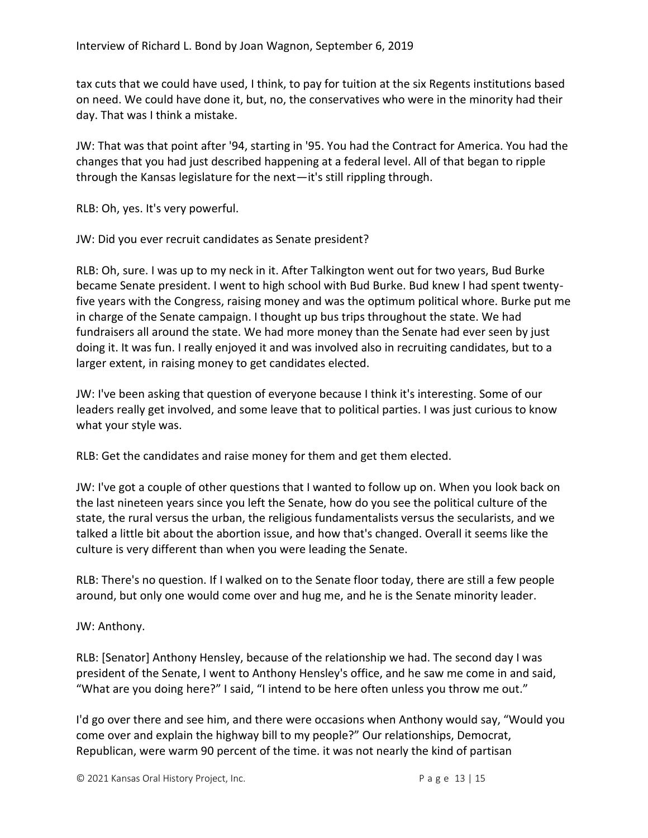tax cuts that we could have used, I think, to pay for tuition at the six Regents institutions based on need. We could have done it, but, no, the conservatives who were in the minority had their day. That was I think a mistake.

JW: That was that point after '94, starting in '95. You had the Contract for America. You had the changes that you had just described happening at a federal level. All of that began to ripple through the Kansas legislature for the next—it's still rippling through.

RLB: Oh, yes. It's very powerful.

JW: Did you ever recruit candidates as Senate president?

RLB: Oh, sure. I was up to my neck in it. After Talkington went out for two years, Bud Burke became Senate president. I went to high school with Bud Burke. Bud knew I had spent twentyfive years with the Congress, raising money and was the optimum political whore. Burke put me in charge of the Senate campaign. I thought up bus trips throughout the state. We had fundraisers all around the state. We had more money than the Senate had ever seen by just doing it. It was fun. I really enjoyed it and was involved also in recruiting candidates, but to a larger extent, in raising money to get candidates elected.

JW: I've been asking that question of everyone because I think it's interesting. Some of our leaders really get involved, and some leave that to political parties. I was just curious to know what your style was.

RLB: Get the candidates and raise money for them and get them elected.

JW: I've got a couple of other questions that I wanted to follow up on. When you look back on the last nineteen years since you left the Senate, how do you see the political culture of the state, the rural versus the urban, the religious fundamentalists versus the secularists, and we talked a little bit about the abortion issue, and how that's changed. Overall it seems like the culture is very different than when you were leading the Senate.

RLB: There's no question. If I walked on to the Senate floor today, there are still a few people around, but only one would come over and hug me, and he is the Senate minority leader.

#### JW: Anthony.

RLB: [Senator] Anthony Hensley, because of the relationship we had. The second day I was president of the Senate, I went to Anthony Hensley's office, and he saw me come in and said, "What are you doing here?" I said, "I intend to be here often unless you throw me out."

I'd go over there and see him, and there were occasions when Anthony would say, "Would you come over and explain the highway bill to my people?" Our relationships, Democrat, Republican, were warm 90 percent of the time. it was not nearly the kind of partisan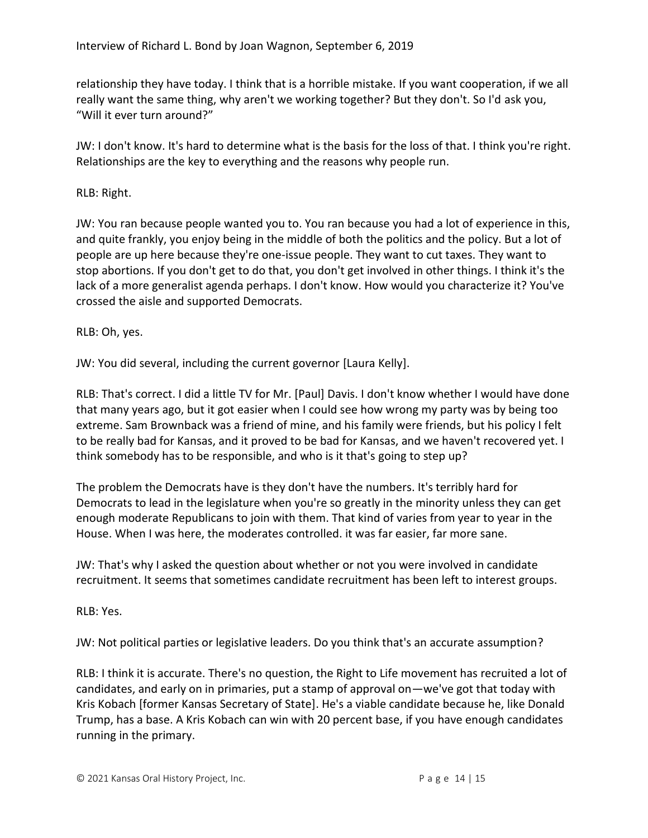relationship they have today. I think that is a horrible mistake. If you want cooperation, if we all really want the same thing, why aren't we working together? But they don't. So I'd ask you, "Will it ever turn around?"

JW: I don't know. It's hard to determine what is the basis for the loss of that. I think you're right. Relationships are the key to everything and the reasons why people run.

## RLB: Right.

JW: You ran because people wanted you to. You ran because you had a lot of experience in this, and quite frankly, you enjoy being in the middle of both the politics and the policy. But a lot of people are up here because they're one-issue people. They want to cut taxes. They want to stop abortions. If you don't get to do that, you don't get involved in other things. I think it's the lack of a more generalist agenda perhaps. I don't know. How would you characterize it? You've crossed the aisle and supported Democrats.

RLB: Oh, yes.

JW: You did several, including the current governor [Laura Kelly].

RLB: That's correct. I did a little TV for Mr. [Paul] Davis. I don't know whether I would have done that many years ago, but it got easier when I could see how wrong my party was by being too extreme. Sam Brownback was a friend of mine, and his family were friends, but his policy I felt to be really bad for Kansas, and it proved to be bad for Kansas, and we haven't recovered yet. I think somebody has to be responsible, and who is it that's going to step up?

The problem the Democrats have is they don't have the numbers. It's terribly hard for Democrats to lead in the legislature when you're so greatly in the minority unless they can get enough moderate Republicans to join with them. That kind of varies from year to year in the House. When I was here, the moderates controlled. it was far easier, far more sane.

JW: That's why I asked the question about whether or not you were involved in candidate recruitment. It seems that sometimes candidate recruitment has been left to interest groups.

RLB: Yes.

JW: Not political parties or legislative leaders. Do you think that's an accurate assumption?

RLB: I think it is accurate. There's no question, the Right to Life movement has recruited a lot of candidates, and early on in primaries, put a stamp of approval on—we've got that today with Kris Kobach [former Kansas Secretary of State]. He's a viable candidate because he, like Donald Trump, has a base. A Kris Kobach can win with 20 percent base, if you have enough candidates running in the primary.